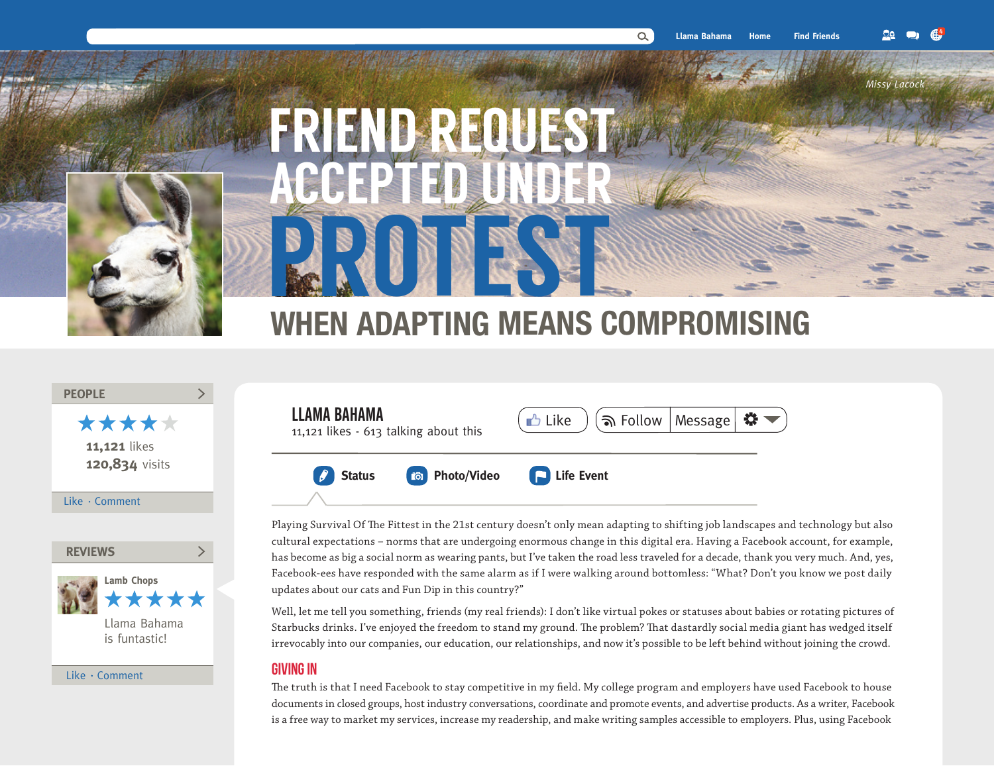*Missy Lacock*

**4**



# FRIEND ACCEPTED UNDER PROTESTE

## **WHEN ADAPTING MEANS COMPROMISING**

#### **PEOPLE**

\*\*\*\*\* **11,121** likes **120,834** visits

 $\sum$ 

#### Like  $\cdot$  Comment



Like · Comment

### LLAMA BAHAMA **LLAMA BAHAMA**<br>11,121 likes - 613 talking about this  $\left(\bigcup_{k=1}^{n} Like \right)$   $\left(\bigcap_{k=1}^{n}$  Follow Message ₩. **Status <b>Photo/Video PhotoPhoto**  $\boldsymbol{\ell}$

Playing Survival Of The Fittest in the 21st century doesn't only mean adapting to shifting job landscapes and technology but also cultural expectations – norms that are undergoing enormous change in this digital era. Having a Facebook account, for example, has become as big a social norm as wearing pants, but I've taken the road less traveled for a decade, thank you very much. And, yes, Facebook-ees have responded with the same alarm as if I were walking around bottomless: "What? Don't you know we post daily updates about our cats and Fun Dip in this country?"

Well, let me tell you something, friends (my real friends): I don't like virtual pokes or statuses about babies or rotating pictures of Starbucks drinks. I've enjoyed the freedom to stand my ground. The problem? That dastardly social media giant has wedged itself irrevocably into our companies, our education, our relationships, and now it's possible to be left behind without joining the crowd.

#### Giving in

The truth is that I need Facebook to stay competitive in my field. My college program and employers have used Facebook to house documents in closed groups, host industry conversations, coordinate and promote events, and advertise products. As a writer, Facebook is a free way to market my services, increase my readership, and make writing samples accessible to employers. Plus, using Facebook